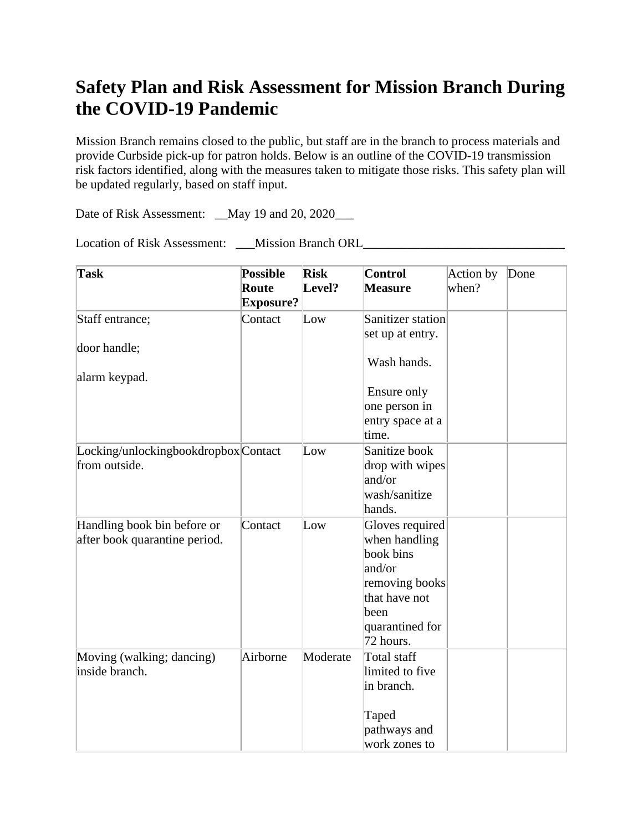## **Safety Plan and Risk Assessment for Mission Branch During the COVID-19 Pandemic**

Mission Branch remains closed to the public, but staff are in the branch to process materials and provide Curbside pick-up for patron holds. Below is an outline of the COVID-19 transmission risk factors identified, along with the measures taken to mitigate those risks. This safety plan will be updated regularly, based on staff input.

Date of Risk Assessment: \_\_May 19 and 20, 2020\_\_\_

Location of Risk Assessment: \_\_\_Mission Branch ORL\_\_\_\_\_\_\_\_\_\_\_\_\_\_\_\_\_\_\_\_\_\_\_\_\_\_\_\_\_\_

| <b>Task</b>                                                  | <b>Possible</b><br>Route<br><b>Exposure?</b> | <b>Risk</b><br>Level? | <b>Control</b><br><b>Measure</b>                                                                                                   | Action by<br>when? | Done |
|--------------------------------------------------------------|----------------------------------------------|-----------------------|------------------------------------------------------------------------------------------------------------------------------------|--------------------|------|
| Staff entrance;                                              | Contact                                      | Low                   | Sanitizer station<br>set up at entry.                                                                                              |                    |      |
| door handle;                                                 |                                              |                       | Wash hands.                                                                                                                        |                    |      |
| alarm keypad.                                                |                                              |                       | Ensure only<br>one person in<br>entry space at a<br>time.                                                                          |                    |      |
| Locking/unlockingbookdropbox Contact<br>from outside.        |                                              | Low                   | Sanitize book<br>drop with wipes<br>and/or<br>wash/sanitize<br>hands.                                                              |                    |      |
| Handling book bin before or<br>after book quarantine period. | Contact                                      | Low                   | Gloves required<br>when handling<br>book bins<br>and/or<br>removing books<br>that have not<br>been<br>quarantined for<br>72 hours. |                    |      |
| Moving (walking; dancing)<br>inside branch.                  | Airborne                                     | Moderate              | Total staff<br>limited to five<br>in branch.<br>Taped<br>pathways and<br>work zones to                                             |                    |      |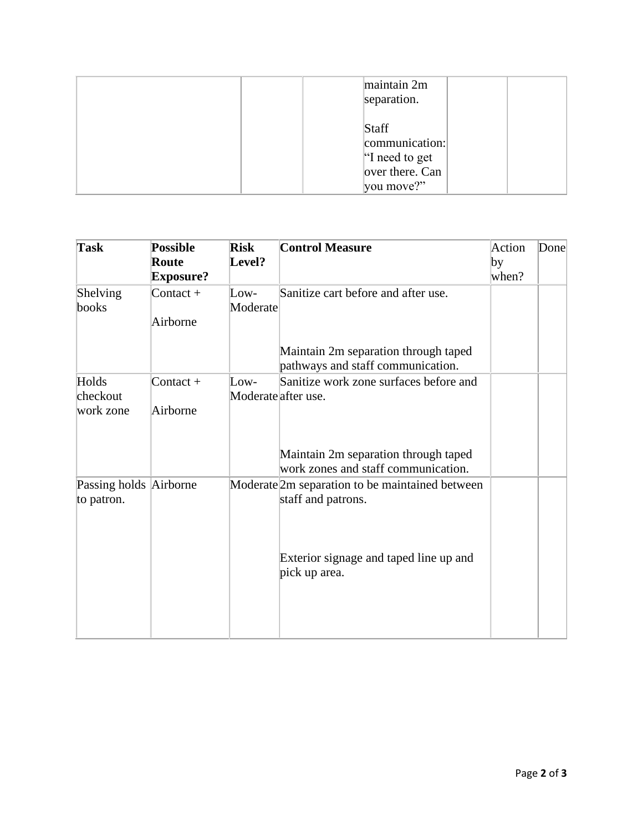| maintain 2m<br>separation.                                                 |
|----------------------------------------------------------------------------|
| Staff<br>communication:<br>"I need to get<br>over there. Can<br>you move?" |

| <b>Task</b>                          | <b>Possible</b>  | <b>Risk</b>                             | <b>Control Measure</b>                                                            | Action | Done |
|--------------------------------------|------------------|-----------------------------------------|-----------------------------------------------------------------------------------|--------|------|
|                                      | Route            | Level?                                  |                                                                                   | by     |      |
|                                      | <b>Exposure?</b> |                                         |                                                                                   | when?  |      |
| Shelving<br>books                    | Contact $+$      | Low-<br>Moderate                        | Sanitize cart before and after use.                                               |        |      |
|                                      | Airborne         |                                         |                                                                                   |        |      |
|                                      |                  |                                         | Maintain 2m separation through taped<br>pathways and staff communication.         |        |      |
| Holds<br>checkout                    | Contact $+$      | $_{\text{Low-}}$<br>Moderate after use. | Sanitize work zone surfaces before and                                            |        |      |
| work zone                            | Airborne         |                                         |                                                                                   |        |      |
|                                      |                  |                                         | Maintain 2m separation through taped<br>work zones and staff communication.       |        |      |
| Passing holds Airborne<br>to patron. |                  |                                         | Moderate <sup>2</sup> m separation to be maintained between<br>staff and patrons. |        |      |
|                                      |                  |                                         | Exterior signage and taped line up and<br>pick up area.                           |        |      |